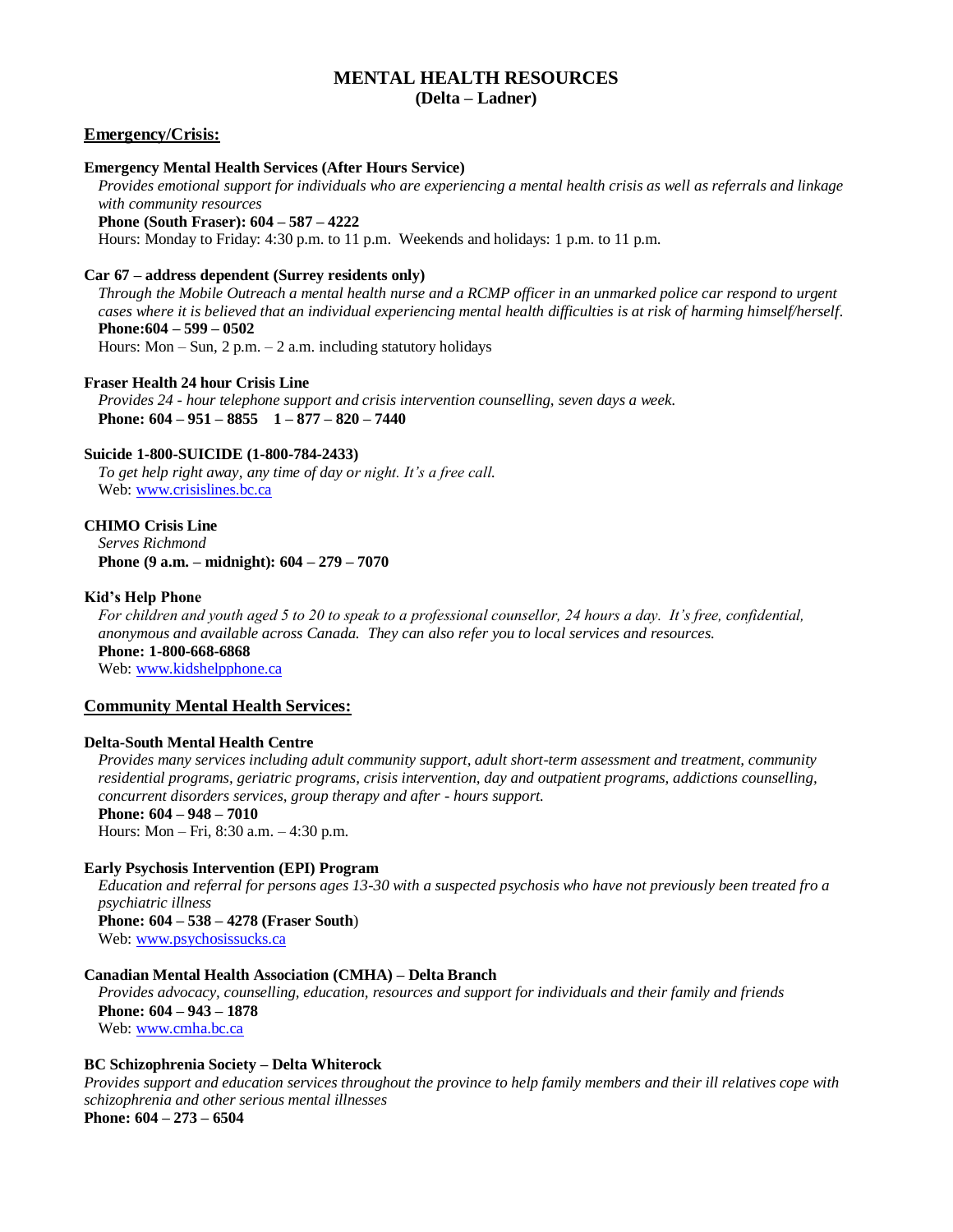# **MENTAL HEALTH RESOURCES (Delta – Ladner)**

## **Emergency/Crisis:**

## **Emergency Mental Health Services (After Hours Service)**

*Provides emotional support for individuals who are experiencing a mental health crisis as well as referrals and linkage with community resources*

**Phone (South Fraser): 604 – 587 – 4222**

Hours: Monday to Friday: 4:30 p.m. to 11 p.m. Weekends and holidays: 1 p.m. to 11 p.m.

### **Car 67 – address dependent (Surrey residents only)**

*Through the Mobile Outreach a mental health nurse and a RCMP officer in an unmarked police car respond to urgent cases where it is believed that an individual experiencing mental health difficulties is at risk of harming himself/herself.* **Phone:604 – 599 – 0502**

Hours: Mon  $-$  Sun,  $2$  p.m.  $-$  2 a.m. including statutory holidays

## **Fraser Health 24 hour Crisis Line**

*Provides 24 - hour telephone support and crisis intervention counselling, seven days a week.* **Phone: 604 – 951 – 8855 1 – 877 – 820 – 7440**

#### **Suicide 1-800-SUICIDE (1-800-784-2433)**

*To get help right away, any time of day or night. It's a free call.* Web: [www.crisislines.bc.ca](http://www.crisislines.bc.ca/)

## **CHIMO Crisis Line**

*Serves Richmond* **Phone (9 a.m. – midnight): 604 – 279 – 7070**

#### **Kid's Help Phone**

*For children and youth aged 5 to 20 to speak to a professional counsellor, 24 hours a day. It's free, confidential, anonymous and available across Canada. They can also refer you to local services and resources.* **Phone: 1-800-668-6868**

Web: [www.kidshelpphone.ca](http://www.kidshelpphone.ca/)

## **Community Mental Health Services:**

#### **Delta-South Mental Health Centre**

*Provides many services including adult community support, adult short-term assessment and treatment, community residential programs, geriatric programs, crisis intervention, day and outpatient programs, addictions counselling, concurrent disorders services, group therapy and after - hours support.*

# **Phone: 604 – 948 – 7010**

Hours: Mon – Fri, 8:30 a.m. – 4:30 p.m.

#### **Early Psychosis Intervention (EPI) Program**

*Education and referral for persons ages 13-30 with a suspected psychosis who have not previously been treated fro a psychiatric illness*

**Phone: 604 – 538 – 4278 (Fraser South**) Web: [www.psychosissucks.ca](http://www.psychosissucks.ca/)

## **Canadian Mental Health Association (CMHA) – Delta Branch**

*Provides advocacy, counselling, education, resources and support for individuals and their family and friends* **Phone: 604 – 943 – 1878** Web: [www.cmha.bc.ca](http://www.cmha.bc.ca/)

## **BC Schizophrenia Society – Delta Whiterock**

*Provides support and education services throughout the province to help family members and their ill relatives cope with schizophrenia and other serious mental illnesses*

**Phone: 604 – 273 – 6504**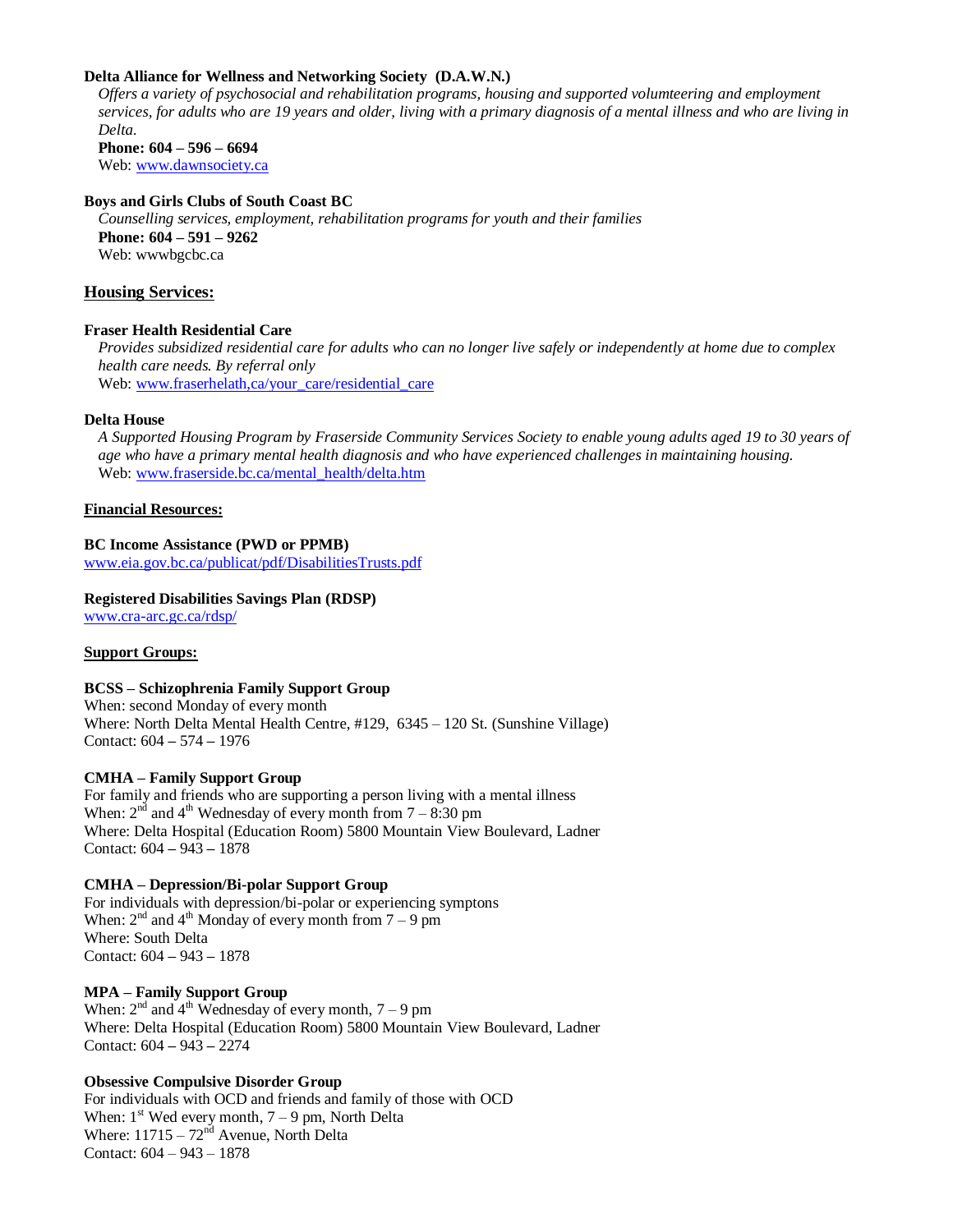## **Delta Alliance for Wellness and Networking Society (D.A.W.N.)**

*Offers a variety of psychosocial and rehabilitation programs, housing and supported volumteering and employment services, for adults who are 19 years and older, living with a primary diagnosis of a mental illness and who are living in Delta*. **Phone: 604 – 596 – 6694**

Web: [www.dawnsociety.ca](http://www.dawnsociety.ca/)

## **Boys and Girls Clubs of South Coast BC**

*Counselling services, employment, rehabilitation programs for youth and their families* **Phone: 604 – 591 – 9262** Web: wwwbgcbc.ca

## **Housing Services:**

## **Fraser Health Residential Care**

*Provides subsidized residential care for adults who can no longer live safely or independently at home due to complex health care needs. By referral only* Web: [www.fraserhelath,ca/your\\_care/residential\\_care](http://www.fraserhelath,ca/your_care/residential_care)

## **Delta House**

*A Supported Housing Program by Fraserside Community Services Society to enable young adults aged 19 to 30 years of age who have a primary mental health diagnosis and who have experienced challenges in maintaining housing.* Web: [www.fraserside.bc.ca/mental\\_health/delta.htm](http://www.fraserside.bc.ca/mental_health/delta.htm)

#### **Financial Resources:**

## **BC Income Assistance (PWD or PPMB)**

[www.eia.gov.bc.ca/publicat/pdf/DisabilitiesTrusts.pdf](http://www.eia.gov.bc.ca/publicat/pdf/DisabilitiesTrusts.pdf)

### **Registered Disabilities Savings Plan (RDSP)** [www.cra-arc.gc.ca/rdsp/](http://www.cra-arc.gc.ca/rdsp/)

## **Support Groups:**

## **BCSS – Schizophrenia Family Support Group**

When: second Monday of every month Where: North Delta Mental Health Centre, #129, 6345 – 120 St. (Sunshine Village) Contact: 604 **–** 574 **–** 1976

## **CMHA – Family Support Group**

For family and friends who are supporting a person living with a mental illness When:  $2<sup>nd</sup>$  and  $4<sup>th</sup>$  Wednesday of every month from  $7 - 8:30$  pm Where: Delta Hospital (Education Room) 5800 Mountain View Boulevard, Ladner Contact: 604 **–** 943 **–** 1878

## **CMHA – Depression/Bi-polar Support Group**

For individuals with depression/bi-polar or experiencing symptons When:  $2<sup>nd</sup>$  and  $4<sup>th</sup>$  Monday of every month from  $7 - 9$  pm Where: South Delta Contact: 604 **–** 943 **–** 1878

## **MPA – Family Support Group**

When:  $2<sup>nd</sup>$  and  $4<sup>th</sup>$  Wednesday of every month,  $7 - 9$  pm Where: Delta Hospital (Education Room) 5800 Mountain View Boulevard, Ladner Contact: 604 **–** 943 **–** 2274

## **Obsessive Compulsive Disorder Group**

For individuals with OCD and friends and family of those with OCD When:  $1^{st}$  Wed every month,  $7 - 9$  pm, North Delta Where:  $11715 - 72<sup>nd</sup>$  Avenue, North Delta Contact: 604 – 943 – 1878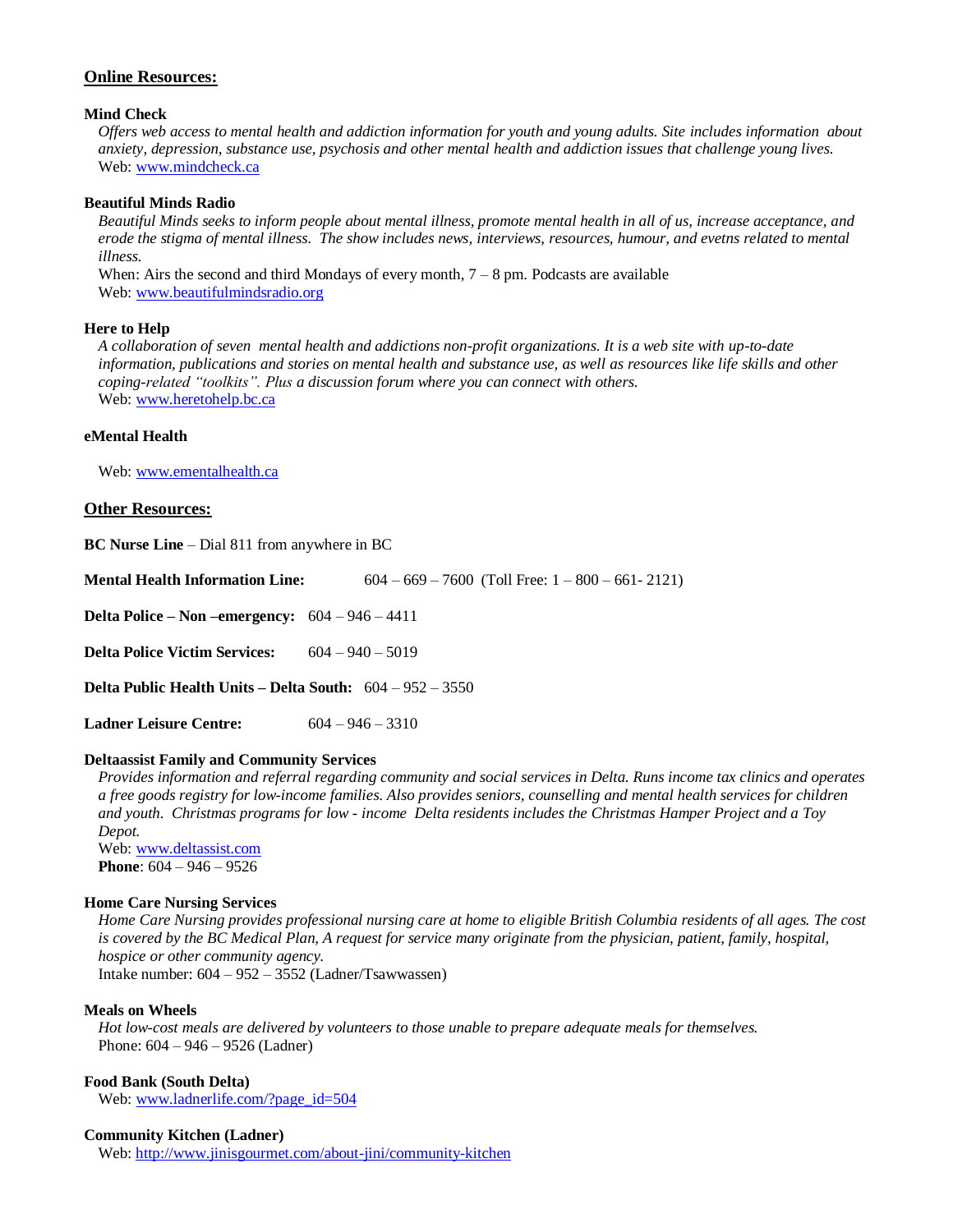## **Online Resources:**

### **Mind Check**

*Offers web access to mental health and addiction information for youth and young adults. Site includes information about anxiety, depression, substance use, psychosis and other mental health and addiction issues that challenge young lives.* Web: [www.mindcheck.ca](http://www.mindcheck.ca/)

## **Beautiful Minds Radio**

*Beautiful Minds seeks to inform people about mental illness, promote mental health in all of us, increase acceptance, and erode the stigma of mental illness. The show includes news, interviews, resources, humour, and evetns related to mental illness.*

When: Airs the second and third Mondays of every month,  $7 - 8$  pm. Podcasts are available Web: [www.beautifulmindsradio.org](http://www.beautifulmindsradio.org/)

#### **Here to Help**

*A collaboration of seven mental health and addictions non-profit organizations. It is a web site with up-to-date information, publications and stories on mental health and substance use, as well as resources like life skills and other coping-related "toolkits". Plus a discussion forum where you can connect with others.* Web: [www.heretohelp.bc.ca](http://www.heretohelp.bc.ca/)

## **eMental Health**

Web: [www.ementalhealth.ca](http://www.ementalhealth.ca/)

## **Other Resources:**

**BC Nurse Line** – Dial 811 from anywhere in BC

| <b>Mental Health Information Line:</b>                             | $604 - 669 - 7600$ (Toll Free: $1 - 800 - 661 - 2121$ ) |
|--------------------------------------------------------------------|---------------------------------------------------------|
| Delta Police – Non – emergency: $604 - 946 - 4411$                 |                                                         |
| <b>Delta Police Victim Services:</b>                               | $604 - 940 - 5019$                                      |
| <b>Delta Public Health Units – Delta South:</b> $604 - 952 - 3550$ |                                                         |
| <b>Ladner Leisure Centre:</b>                                      | $604 - 946 - 3310$                                      |

#### **Deltaassist Family and Community Services**

*Provides information and referral regarding community and social services in Delta. Runs income tax clinics and operates a free goods registry for low-income families. Also provides seniors, counselling and mental health services for children and youth. Christmas programs for low - income Delta residents includes the Christmas Hamper Project and a Toy Depot.*

Web: [www.deltassist.com](http://www.deltassist.com/) **Phone**: 604 – 946 – 9526

#### **Home Care Nursing Services**

*Home Care Nursing provides professional nursing care at home to eligible British Columbia residents of all ages. The cost is covered by the BC Medical Plan, A request for service many originate from the physician, patient, family, hospital, hospice or other community agency.* Intake number: 604 – 952 – 3552 (Ladner/Tsawwassen)

#### **Meals on Wheels**

*Hot low-cost meals are delivered by volunteers to those unable to prepare adequate meals for themselves.* Phone: 604 – 946 – 9526 (Ladner)

#### **Food Bank (South Delta)**

Web: [www.ladnerlife.com/?page\\_id=504](http://www.ladnerlife.com/?page_id=504)

#### **Community Kitchen (Ladner)**

Web:<http://www.jinisgourmet.com/about-jini/community-kitchen>